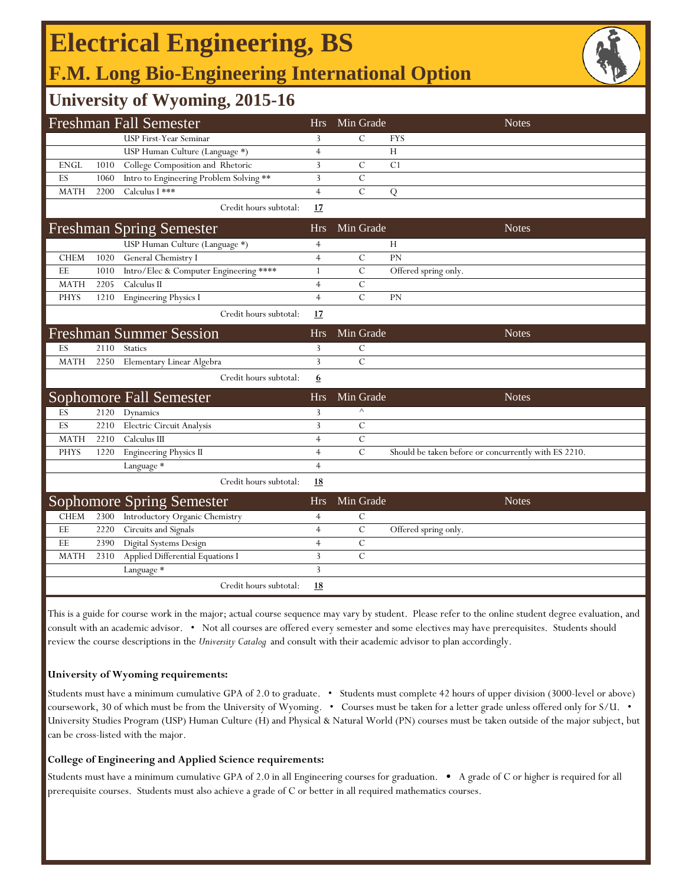# **Electrical Engineering, BS**

**F.M. Long Bio-Engineering International Option**

### **University of Wyoming, 2015-16**

| <b>Freshman Fall Semester</b> |      |                                         | <b>Hrs</b>     | Min Grade      | <b>Notes</b>                                         |
|-------------------------------|------|-----------------------------------------|----------------|----------------|------------------------------------------------------|
|                               |      | USP First-Year Seminar                  | 3              | $\mathcal{C}$  | <b>FYS</b>                                           |
|                               |      | USP Human Culture (Language *)          | 4              |                | H                                                    |
| <b>ENGL</b>                   | 1010 | College Composition and Rhetoric        | 3              | $\mathcal{C}$  | C1                                                   |
| ES                            | 1060 | Intro to Engineering Problem Solving ** | 3              | $\mathcal{C}$  |                                                      |
| <b>MATH</b>                   | 2200 | Calculus I ***                          | $\overline{4}$ | $\overline{C}$ | Q                                                    |
|                               |      | Credit hours subtotal:                  | 17             |                |                                                      |
|                               |      | <b>Freshman Spring Semester</b>         | <b>Hrs</b>     | Min Grade      | <b>Notes</b>                                         |
|                               |      | USP Human Culture (Language *)          | 4              |                | H                                                    |
| <b>CHEM</b>                   | 1020 | General Chemistry I                     | $\overline{4}$ | $\mathcal{C}$  | <b>PN</b>                                            |
| EE                            | 1010 | Intro/Elec & Computer Engineering ****  | $\mathbf{1}$   | $\mathcal{C}$  | Offered spring only.                                 |
| <b>MATH</b>                   | 2205 | Calculus II                             | 4              | $\mathcal{C}$  |                                                      |
| <b>PHYS</b>                   | 1210 | <b>Engineering Physics I</b>            | $\overline{4}$ | $\overline{C}$ | PN                                                   |
|                               |      | Credit hours subtotal:                  | 17             |                |                                                      |
|                               |      | <b>Freshman Summer Session</b>          | <b>Hrs</b>     | Min Grade      | <b>Notes</b>                                         |
| ES                            | 2110 | <b>Statics</b>                          | 3              | $\mathcal{C}$  |                                                      |
| <b>MATH</b>                   | 2250 | Elementary Linear Algebra               | 3              | $\overline{C}$ |                                                      |
|                               |      | Credit hours subtotal:                  | 6              |                |                                                      |
|                               |      | <b>Sophomore Fall Semester</b>          | <b>Hrs</b>     | Min Grade      | <b>Notes</b>                                         |
| ES                            | 2120 | Dynamics                                | 3              | $\wedge$       |                                                      |
| ES                            | 2210 | Electric Circuit Analysis               | 3              | $\overline{C}$ |                                                      |
| <b>MATH</b>                   | 2210 | Calculus III                            | 4              | $\mathcal{C}$  |                                                      |
| <b>PHYS</b>                   | 1220 | <b>Engineering Physics II</b>           | $\overline{4}$ | $\overline{C}$ | Should be taken before or concurrently with ES 2210. |
|                               |      | Language *                              | $\overline{4}$ |                |                                                      |
|                               |      | Credit hours subtotal:                  | <u>18</u>      |                |                                                      |
|                               |      | <b>Sophomore Spring Semester</b>        | <b>Hrs</b>     | Min Grade      | <b>Notes</b>                                         |
| <b>CHEM</b>                   | 2300 | Introductory Organic Chemistry          | $\overline{4}$ | $\mathcal{C}$  |                                                      |
| EE                            | 2220 | Circuits and Signals                    | $\overline{4}$ | $\mathcal{C}$  | Offered spring only.                                 |
| EE                            | 2390 | Digital Systems Design                  | $\overline{4}$ | $\mathcal{C}$  |                                                      |
| <b>MATH</b>                   | 2310 | Applied Differential Equations I        | 3              | $\overline{C}$ |                                                      |
|                               |      | Language *                              | 3              |                |                                                      |
|                               |      | Credit hours subtotal:                  | 18             |                |                                                      |

This is a guide for course work in the major; actual course sequence may vary by student. Please refer to the online student degree evaluation, and consult with an academic advisor. • Not all courses are offered every semester and some electives may have prerequisites. Students should review the course descriptions in the *University Catalog* and consult with their academic advisor to plan accordingly.

### **University of Wyoming requirements:**

Students must have a minimum cumulative GPA of 2.0 to graduate. • Students must complete 42 hours of upper division (3000-level or above) coursework, 30 of which must be from the University of Wyoming. • Courses must be taken for a letter grade unless offered only for S/U. • University Studies Program (USP) Human Culture (H) and Physical & Natural World (PN) courses must be taken outside of the major subject, but can be cross-listed with the major.

### **College of Engineering and Applied Science requirements:**

Students must have a minimum cumulative GPA of 2.0 in all Engineering courses for graduation. • A grade of C or higher is required for all prerequisite courses. Students must also achieve a grade of C or better in all required mathematics courses.